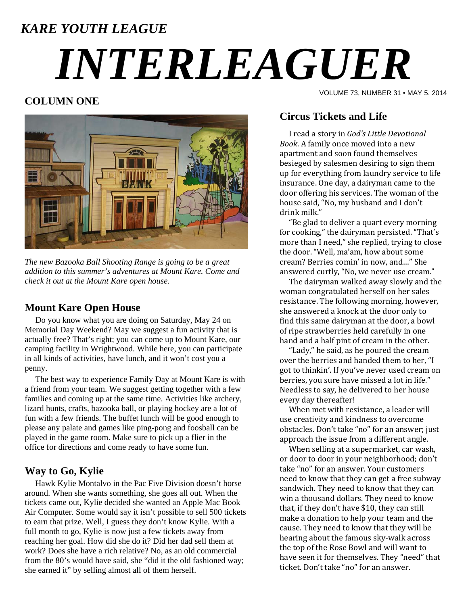# *KARE YOUTH LEAGUE INTERLEAGUER*

# **COLUMN ONE**



*The new Bazooka Ball Shooting Range is going to be a great addition to this summer's adventures at Mount Kare. Come and check it out at the Mount Kare open house.* 

# **Mount Kare Open House**

 Do you know what you are doing on Saturday, May 24 on Memorial Day Weekend? May we suggest a fun activity that is actually free? That's right; you can come up to Mount Kare, our camping facility in Wrightwood. While here, you can participate in all kinds of activities, have lunch, and it won't cost you a penny.

 The best way to experience Family Day at Mount Kare is with a friend from your team. We suggest getting together with a few families and coming up at the same time. Activities like archery, lizard hunts, crafts, bazooka ball, or playing hockey are a lot of fun with a few friends. The buffet lunch will be good enough to please any palate and games like ping-pong and foosball can be played in the game room. Make sure to pick up a flier in the office for directions and come ready to have some fun.

# **Way to Go, Kylie**

 Hawk Kylie Montalvo in the Pac Five Division doesn't horse around. When she wants something, she goes all out. When the tickets came out, Kylie decided she wanted an Apple Mac Book Air Computer. Some would say it isn't possible to sell 500 tickets to earn that prize. Well, I guess they don't know Kylie. With a full month to go, Kylie is now just a few tickets away from reaching her goal. How did she do it? Did her dad sell them at work? Does she have a rich relative? No, as an old commercial from the 80's would have said, she "did it the old fashioned way; she earned it" by selling almost all of them herself.

# **Circus Tickets and Life**

 I read a story in *God's Little Devotional Book*. A family once moved into a new apartment and soon found themselves besieged by salesmen desiring to sign them up for everything from laundry service to life insurance. One day, a dairyman came to the door offering his services. The woman of the house said, "No, my husband and I don't drink milk." 

VOLUME 73, NUMBER 31 • MAY 5, 2014

"Be glad to deliver a quart every morning for cooking," the dairyman persisted. "That's more than I need," she replied, trying to close the door. "Well, ma'am, how about some cream? Berries comin' in now, and..." She answered curtly, "No, we never use cream."

The dairyman walked away slowly and the woman congratulated herself on her sales resistance. The following morning, however, she answered a knock at the door only to find this same dairyman at the door, a bowl of ripe strawberries held carefully in one hand and a half pint of cream in the other.

"Lady," he said, as he poured the cream over the berries and handed them to her, "I got to thinkin'. If you've never used cream on berries, you sure have missed a lot in life." Needless to say, he delivered to her house every day thereafter!

When met with resistance, a leader will use creativity and kindness to overcome obstacles. Don't take "no" for an answer; just approach the issue from a different angle.

When selling at a supermarket, car wash, or door to door in your neighborhood; don't take "no" for an answer. Your customers need to know that they can get a free subway sandwich. They need to know that they can win a thousand dollars. They need to know that, if they don't have \$10, they can still make a donation to help your team and the cause. They need to know that they will be hearing about the famous sky-walk across the top of the Rose Bowl and will want to have seen it for themselves. They "need" that ticket. Don't take "no" for an answer.